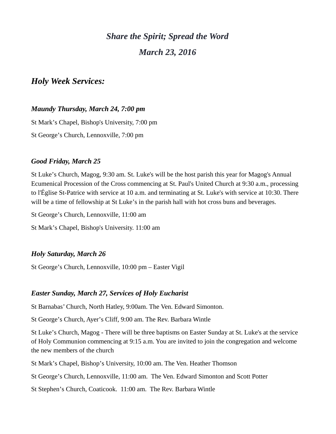# *Share the Spirit; Spread the Word March 23, 2016*

# *Holy Week Services:*

# *Maundy Thursday, March 24, 7:00 pm*

St Mark's Chapel, Bishop's University, 7:00 pm St George's Church, Lennoxville, 7:00 pm

# *Good Friday, March 25*

St Luke's Church, Magog, 9:30 am. St. Luke's will be the host parish this year for Magog's Annual Ecumenical Procession of the Cross commencing at St. Paul's United Church at 9:30 a.m., processing to l'Église St-Patrice with service at 10 a.m. and terminating at St. Luke's with service at 10:30. There will be a time of fellowship at St Luke's in the parish hall with hot cross buns and beverages.

St George's Church, Lennoxville, 11:00 am

St Mark's Chapel, Bishop's University. 11:00 am

# *Holy Saturday, March 26*

St George's Church, Lennoxville, 10:00 pm – Easter Vigil

# *Easter Sunday, March 27, Services of Holy Eucharist*

St Barnabas' Church, North Hatley, 9:00am. The Ven. Edward Simonton.

St George's Church, Ayer's Cliff, 9:00 am. The Rev. Barbara Wintle

St Luke's Church, Magog - There will be three baptisms on Easter Sunday at St. Luke's at the service of Holy Communion commencing at 9:15 a.m. You are invited to join the congregation and welcome the new members of the church

St Mark's Chapel, Bishop's University, 10:00 am. The Ven. Heather Thomson

St George's Church, Lennoxville, 11:00 am. The Ven. Edward Simonton and Scott Potter

St Stephen's Church, Coaticook. 11:00 am. The Rev. Barbara Wintle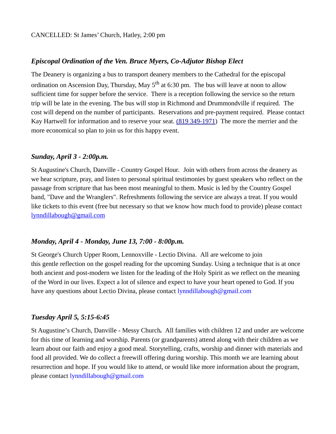#### *Episcopal Ordination of the Ven. Bruce Myers, Co-Adjutor Bishop Elect*

The Deanery is organizing a bus to transport deanery members to the Cathedral for the episcopal ordination on Ascension Day, Thursday, May  $5<sup>th</sup>$  at 6:30 pm. The bus will leave at noon to allow sufficient time for supper before the service. There is a reception following the service so the return trip will be late in the evening. The bus will stop in Richmond and Drummondville if required. The cost will depend on the number of participants. Reservations and pre-payment required. Please contact Kay Hartwell for information and to reserve your seat. [\(819 349-1971\)](tel:(819%20349-1971) The more the merrier and the more economical so plan to join us for this happy event.

#### *Sunday, April 3 - 2:00p.m.*

St Augustine's Church, Danville - Country Gospel Hour. Join with others from across the deanery as we hear scripture, pray, and listen to personal spiritual testimonies by guest speakers who reflect on the passage from scripture that has been most meaningful to them. Music is led by the Country Gospel band, "Dave and the Wranglers". Refreshments following the service are always a treat. If you would like tickets to this event (free but necessary so that we know how much food to provide) please contact [lynndillabough@gmail.com](https://webmail.ubishops.ca/owa/redir.aspx?SURL=9a57gD4r7ZWSjW6IDhyUWbYalWZgi5J55h8s7EFsnjYWbEchuELTCG0AYQBpAGwAdABvADoAbAB5AG4AbgBkAGkAbABsAGEAYgBvAHUAZwBoAEAAZwBtAGEAaQBsAC4AYwBvAG0A&URL=mailto%3Alynndillabough@gmail.com)

#### *Monday, April 4 - Monday, June 13, 7:00 - 8:00p.m.*

St George's Church Upper Room, Lennoxville - Lectio Divina. All are welcome to join this gentle reflection on the gospel reading for the upcoming Sunday. Using a technique that is at once both ancient and post-modern we listen for the leading of the Holy Spirit as we reflect on the meaning of the Word in our lives. Expect a lot of silence and expect to have your heart opened to God. If you have any questions about Lectio Divina, please contact [lynndillabough@gmail.com](https://webmail.ubishops.ca/owa/redir.aspx?SURL=9a57gD4r7ZWSjW6IDhyUWbYalWZgi5J55h8s7EFsnjYWbEchuELTCG0AYQBpAGwAdABvADoAbAB5AG4AbgBkAGkAbABsAGEAYgBvAHUAZwBoAEAAZwBtAGEAaQBsAC4AYwBvAG0A&URL=mailto%3Alynndillabough@gmail.com)

#### *Tuesday April 5, 5:15-6:45*

St Augustine's Church, Danville - Messy Church*.* All families with children 12 and under are welcome for this time of learning and worship. Parents (or grandparents) attend along with their children as we learn about our faith and enjoy a good meal. Storytelling, crafts, worship and dinner with materials and food all provided. We do collect a freewill offering during worship. This month we are learning about resurrection and hope. If you would like to attend, or would like more information about the program, please contact [lynndillabough@gmail.com](https://webmail.ubishops.ca/owa/redir.aspx?SURL=9a57gD4r7ZWSjW6IDhyUWbYalWZgi5J55h8s7EFsnjYWbEchuELTCG0AYQBpAGwAdABvADoAbAB5AG4AbgBkAGkAbABsAGEAYgBvAHUAZwBoAEAAZwBtAGEAaQBsAC4AYwBvAG0A&URL=mailto%3Alynndillabough@gmail.com)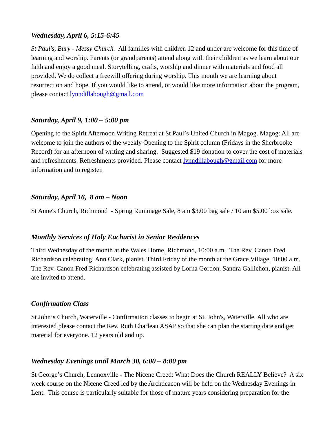# *Wednesday, April 6, 5:15-6:45*

*St Paul's, Bury - Messy Church.* All families with children 12 and under are welcome for this time of learning and worship. Parents (or grandparents) attend along with their children as we learn about our faith and enjoy a good meal. Storytelling, crafts, worship and dinner with materials and food all provided. We do collect a freewill offering during worship. This month we are learning about resurrection and hope. If you would like to attend, or would like more information about the program, please contact [lynndillabough@gmail.com](https://webmail.ubishops.ca/owa/redir.aspx?SURL=9a57gD4r7ZWSjW6IDhyUWbYalWZgi5J55h8s7EFsnjYWbEchuELTCG0AYQBpAGwAdABvADoAbAB5AG4AbgBkAGkAbABsAGEAYgBvAHUAZwBoAEAAZwBtAGEAaQBsAC4AYwBvAG0A&URL=mailto%3Alynndillabough@gmail.com)

#### *Saturday, April 9, 1:00 – 5:00 pm*

Opening to the Spirit Afternoon Writing Retreat at St Paul's United Church in Magog. Magog: All are welcome to join the authors of the weekly Opening to the Spirit column (Fridays in the Sherbrooke Record) for an afternoon of writing and sharing. Suggested \$19 donation to cover the cost of materials and refreshments. Refreshments provided. Please contact [lynndillabough@gmail.com](https://webmail.ubishops.ca/owa/redir.aspx?SURL=0TDUtmhxNBR-zF--M-US9RkmIL7_pc2nQV-AGspegafVnrL4zk3TCG0AYQBpAGwAdABvADoAbAB5AG4AbgBkAGkAbABsAGEAYgBvAHUAZwBoAEAAZwBtAGEAaQBsAC4AYwBvAG0A&URL=mailto%3Alynndillabough@gmail.com) for more information and to register.

#### *Saturday, April 16, 8 am – Noon*

St Anne's Church, Richmond - Spring Rummage Sale, 8 am \$3.00 bag sale / 10 am \$5.00 box sale.

#### *Monthly Services of Holy Eucharist in Senior Residences*

Third Wednesday of the month at the Wales Home, Richmond, 10:00 a.m. The Rev. Canon Fred Richardson celebrating, Ann Clark, pianist. Third Friday of the month at the Grace Village, 10:00 a.m. The Rev. Canon Fred Richardson celebrating assisted by Lorna Gordon, Sandra Gallichon, pianist. All are invited to attend.

# *Confirmation Class*

St John's Church, Waterville - Confirmation classes to begin at St. John's, Waterville. All who are interested please contact the Rev. Ruth Charleau ASAP so that she can plan the starting date and get material for everyone. 12 years old and up.

# *Wednesday Evenings until March 30, 6:00 – 8:00 pm*

St George's Church, Lennoxville - The Nicene Creed: What Does the Church REALLY Believe? A six week course on the Nicene Creed led by the Archdeacon will be held on the Wednesday Evenings in Lent. This course is particularly suitable for those of mature years considering preparation for the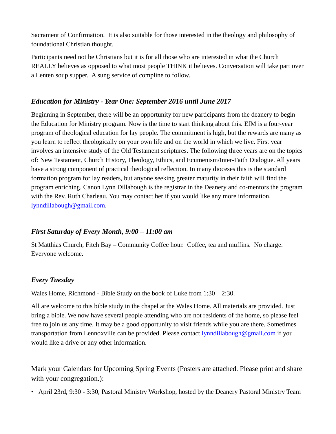Sacrament of Confirmation. It is also suitable for those interested in the theology and philosophy of foundational Christian thought.

Participants need not be Christians but it is for all those who are interested in what the Church REALLY believes as opposed to what most people THINK it believes. Conversation will take part over a Lenten soup supper. A sung service of compline to follow.

# *Education for Ministry - Year One: September 2016 until June 2017*

Beginning in September, there will be an opportunity for new participants from the deanery to begin the Education for Ministry program. Now is the time to start thinking about this. EfM is a four-year program of theological education for lay people. The commitment is high, but the rewards are many as you learn to reflect theologically on your own life and on the world in which we live. First year involves an intensive study of the Old Testament scriptures. The following three years are on the topics of: New Testament, Church History, Theology, Ethics, and Ecumenism/Inter-Faith Dialogue. All years have a strong component of practical theological reflection. In many dioceses this is the standard formation program for lay readers, but anyone seeking greater maturity in their faith will find the program enriching. Canon Lynn Dillabough is the registrar in the Deanery and co-mentors the program with the Rev. Ruth Charleau. You may contact her if you would like any more information. [lynndillabough@gmail.com.](https://webmail.ubishops.ca/owa/redir.aspx?SURL=hdjYUT7WCUNYqFZijozknMHWJ3aRy6vsqTzrilp56ZtP3_2s-BXTCG0AYQBpAGwAdABvADoAbAB5AG4AbgBkAGkAbABsAGEAYgBvAHUAZwBoAEAAZwBtAGEAaQBsAC4AYwBvAG0A&URL=mailto%3Alynndillabough@gmail.com)

# *First Saturday of Every Month, 9:00 – 11:00 am*

St Matthias Church, Fitch Bay – Community Coffee hour. Coffee, tea and muffins. No charge. Everyone welcome.

# *Every Tuesday*

Wales Home, Richmond - Bible Study on the book of Luke from 1:30 – 2:30.

All are welcome to this bible study in the chapel at the Wales Home. All materials are provided. Just bring a bible. We now have several people attending who are not residents of the home, so please feel free to join us any time. It may be a good opportunity to visit friends while you are there. Sometimes transportation from Lennoxville can be provided. Please contact [lynndillabough@gmail.com](https://webmail.ubishops.ca/owa/redir.aspx?SURL=hdjYUT7WCUNYqFZijozknMHWJ3aRy6vsqTzrilp56ZtP3_2s-BXTCG0AYQBpAGwAdABvADoAbAB5AG4AbgBkAGkAbABsAGEAYgBvAHUAZwBoAEAAZwBtAGEAaQBsAC4AYwBvAG0A&URL=mailto%3Alynndillabough@gmail.com) if you would like a drive or any other information.

Mark your Calendars for Upcoming Spring Events (Posters are attached. Please print and share with your congregation.):

• April 23rd, 9:30 - 3:30, Pastoral Ministry Workshop, hosted by the Deanery Pastoral Ministry Team